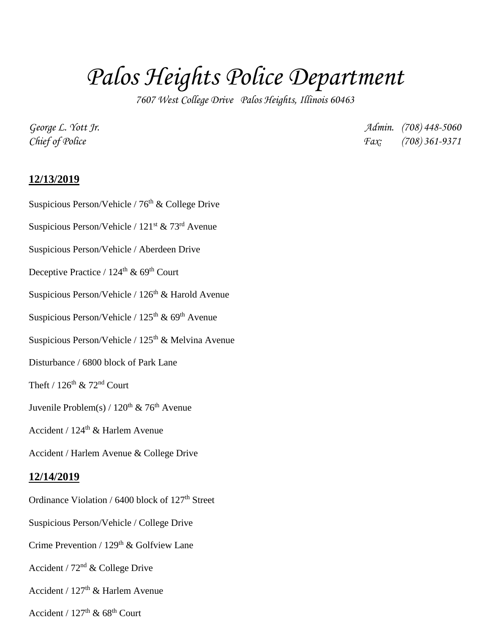## *Palos Heights Police Department*

*7607 West College Drive Palos Heights, Illinois 60463*

*George L. Yott Jr. Admin. (708) 448-5060 Chief of Police Fax: (708) 361-9371*

## **12/13/2019**

Suspicious Person/Vehicle /  $76<sup>th</sup>$  & College Drive

Suspicious Person/Vehicle / 121st & 73rd Avenue

Suspicious Person/Vehicle / Aberdeen Drive

Deceptive Practice /  $124^{\text{th}}$  &  $69^{\text{th}}$  Court

Suspicious Person/Vehicle /  $126<sup>th</sup>$  & Harold Avenue

Suspicious Person/Vehicle /  $125<sup>th</sup>$  & 69<sup>th</sup> Avenue

Suspicious Person/Vehicle /  $125<sup>th</sup>$  & Melvina Avenue

Disturbance / 6800 block of Park Lane

Theft /  $126^{th}$  &  $72^{nd}$  Court

Juvenile Problem(s) /  $120^{th}$  &  $76^{th}$  Avenue

Accident /  $124<sup>th</sup>$  & Harlem Avenue

Accident / Harlem Avenue & College Drive

## **12/14/2019**

Ordinance Violation /  $6400$  block of  $127<sup>th</sup>$  Street

Suspicious Person/Vehicle / College Drive

Crime Prevention /  $129<sup>th</sup>$  & Golfview Lane

Accident /  $72<sup>nd</sup>$  & College Drive

Accident /  $127<sup>th</sup>$  & Harlem Avenue

Accident /  $127<sup>th</sup>$  & 68<sup>th</sup> Court